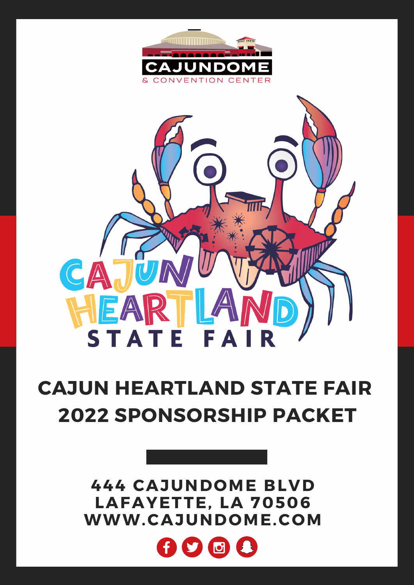



# **CAJUN HEARTLAND STATE FAIR 2022 SPONSORSHIP PACKET**

**444 CAJUNDOME BLVD LAFAYETTE, LA 70506 WWW.CAJUNDOME.COM**

![](_page_0_Picture_4.jpeg)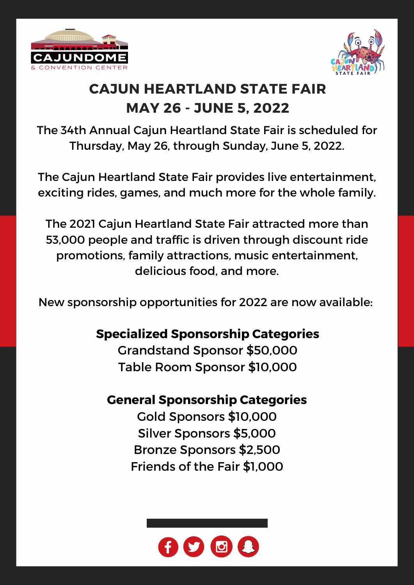![](_page_1_Picture_0.jpeg)

![](_page_1_Picture_1.jpeg)

## **CAJUN HEARTLAND STATE FAIR MAY 26 - JUNE 5, 2022**

The 34th Annual Cajun Heartland State Fair is scheduled for Thursday, May 26, through Sunday, June 5, 2022.

The Cajun Heartland State Fair provides live entertainment, exciting rides, games, and much more for the whole family.

The 2021 Cajun Heartland State Fair attracted more than 53,000 people and traffic is driven through discount ride promotions, family attractions, music entertainment, delicious food, and more.

New sponsorship opportunities for 2022 are now available:

## **Specialized Sponsorship Categories**

Grandstand Sponsor \$50,000 Table Room Sponsor \$10,000

## **General Sponsorship Categories**

Gold Sponsors \$10,000 Silver Sponsors \$5,000 Bronze Sponsors \$2,500 Friends of the Fair \$1,000

![](_page_1_Picture_11.jpeg)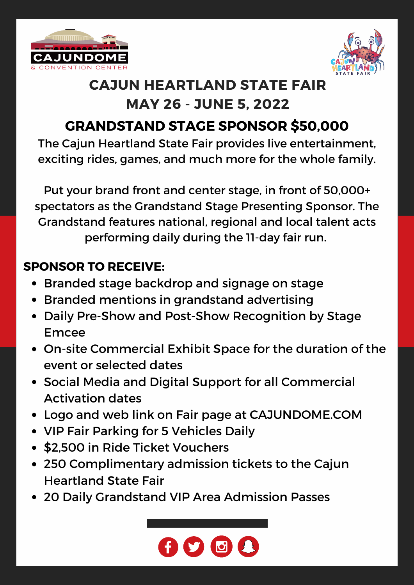![](_page_2_Picture_0.jpeg)

![](_page_2_Picture_1.jpeg)

## **CAJUN HEARTLAND STATE FAIR MAY 26 - JUNE 5, 2022**

## **GRANDSTAND STAGE SPONSOR \$50,000**

The Cajun Heartland State Fair provides live entertainment, exciting rides, games, and much more for the whole family.

Put your brand front and center stage, in front of 50,000+ spectators as the Grandstand Stage Presenting Sponsor. The Grandstand features national, regional and local talent acts performing daily during the 11-day fair run.

## **SPONSOR TO RECEIVE:**

- Branded stage backdrop and signage on stage
- Branded mentions in grandstand advertising
- Daily Pre-Show and Post-Show Recognition by Stage Emcee
- On-site Commercial Exhibit Space for the duration of the event or selected dates
- Social Media and Digital Support for all Commercial Activation dates
- Logo and web link on Fair page at CAJUNDOME.COM
- VIP Fair Parking for 5 Vehicles Daily
- \$2,500 in Ride Ticket Vouchers
- 250 Complimentary admission tickets to the Cajun Heartland State Fair
- 20 Daily Grandstand VIP Area Admission Passes

![](_page_2_Picture_17.jpeg)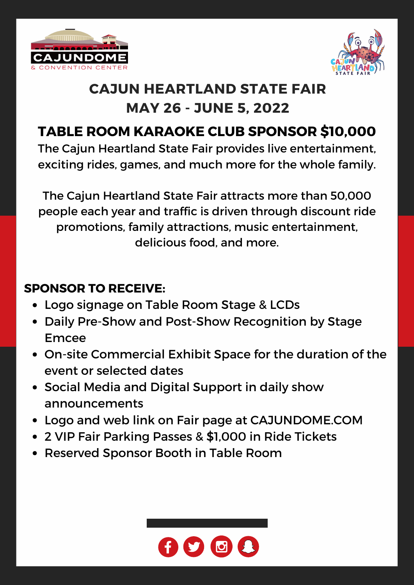![](_page_3_Picture_0.jpeg)

![](_page_3_Picture_1.jpeg)

## **CAJUN HEARTLAND STATE FAIR MAY 26 - JUNE 5, 2022**

## **TABLE ROOM KARAOKE CLUB SPONSOR \$10,000**

The Cajun Heartland State Fair provides live entertainment, exciting rides, games, and much more for the whole family.

The Cajun Heartland State Fair attracts more than 50,000 people each year and traffic is driven through discount ride promotions, family attractions, music entertainment, delicious food, and more.

## **SPONSOR TO RECEIVE:**

- Logo signage on Table Room Stage & LCDs
- Daily Pre-Show and Post-Show Recognition by Stage Emcee
- On-site Commercial Exhibit Space for the duration of the event or selected dates
- Social Media and Digital Support in daily show announcements
- Logo and web link on Fair page at CAJUNDOME.COM
- 2 VIP Fair Parking Passes & \$1,000 in Ride Tickets
- Reserved Sponsor Booth in Table Room

![](_page_3_Picture_14.jpeg)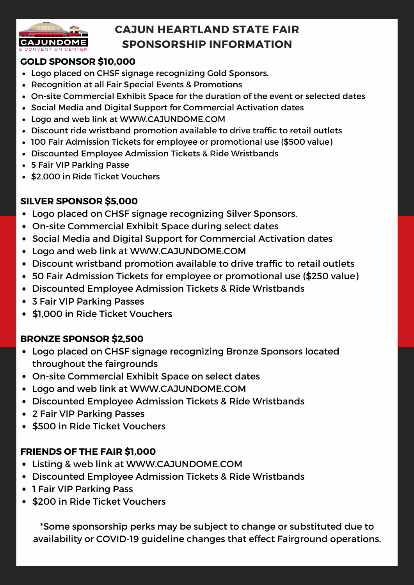![](_page_4_Picture_0.jpeg)

### **CAJUN HEARTLAND STATE FAIR SPONSORSHIP INFORMATION**

#### **GOLD SPONSOR \$10,000**

- Logo placed on CHSF signage recognizing Gold Sponsors.
- Recognition at all Fair Special Events & Promotions
- On-site Commercial Exhibit Space for the duration of the event or selected dates
- Social Media and Digital Support for Commercial Activation dates
- Logo and web link at WWW.CAJUNDOME.COM
- Discount ride wristband promotion available to drive traffic to retail outlets
- 100 Fair Admission Tickets for employee or promotional use (\$500 value)
- Discounted Employee Admission Tickets & Ride Wristbands
- 5 Fair VIP Parking Passe
- \$2,000 in Ride Ticket Vouchers

#### **SILVER SPONSOR \$5,000**

- Logo placed on CHSF signage recognizing Silver Sponsors.
- On-site Commercial Exhibit Space during select dates
- Social Media and Digital Support for Commercial Activation dates
- Logo and web link at WWW.CAJUNDOME.COM
- Discount wristband promotion available to drive traffic to retail outlets
- 50 Fair Admission Tickets for employee or promotional use (\$250 value)
- Discounted Employee Admission Tickets & Ride Wristbands
- 3 Fair VIP Parking Passes
- \$1,000 in Ride Ticket Vouchers

#### **BRONZE SPONSOR \$2,500**

- Logo placed on CHSF signage recognizing Bronze Sponsors located throughout the fairgrounds
- On-site Commercial Exhibit Space on select dates
- Logo and web link at WWW.CAJUNDOME.COM
- Discounted Employee Admission Tickets & Ride Wristbands
- 2 Fair VIP Parking Passes
- \$500 in Ride Ticket Vouchers

#### **FRIENDS OF THE FAIR \$1,000**

- Listing & web link at WWW.CAJUNDOME.COM
- Discounted Employee Admission Tickets & Ride Wristbands
- 1 Fair VIP Parking Pass
- \$200 in Ride Ticket Vouchers

\*Some sponsorship perks may be subject to change or substituted due to availability or COVID-19 guideline changes that effect Fairground operations.